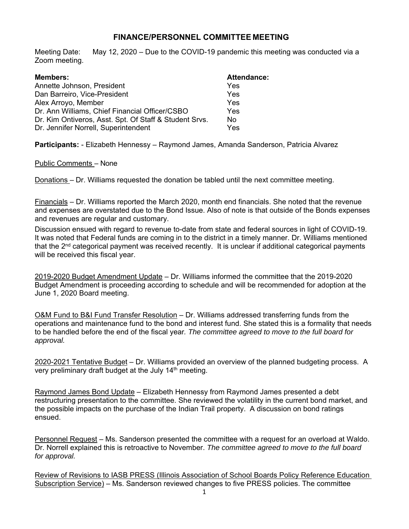## **FINANCE/PERSONNEL COMMITTEE MEETING**

Meeting Date: May 12, 2020 – Due to the COVID-19 pandemic this meeting was conducted via a Zoom meeting.

| <b>Members:</b>                                        | <b>Attendance:</b> |
|--------------------------------------------------------|--------------------|
| Annette Johnson, President                             | Yes                |
| Dan Barreiro, Vice-President                           | Yes                |
| Alex Arroyo, Member                                    | Yes                |
| Dr. Ann Williams, Chief Financial Officer/CSBO         | Yes                |
| Dr. Kim Ontiveros, Asst. Spt. Of Staff & Student Srvs. | No.                |
| Dr. Jennifer Norrell, Superintendent                   | Yes                |

**Participants:** - Elizabeth Hennessy – Raymond James, Amanda Sanderson, Patricia Alvarez

## Public Comments – None

Donations – Dr. Williams requested the donation be tabled until the next committee meeting.

Financials – Dr. Williams reported the March 2020, month end financials. She noted that the revenue and expenses are overstated due to the Bond Issue. Also of note is that outside of the Bonds expenses and revenues are regular and customary.

Discussion ensued with regard to revenue to-date from state and federal sources in light of COVID-19. It was noted that Federal funds are coming in to the district in a timely manner. Dr. Williams mentioned that the  $2<sup>nd</sup>$  categorical payment was received recently. It is unclear if additional categorical payments will be received this fiscal year.

2019-2020 Budget Amendment Update – Dr. Williams informed the committee that the 2019-2020 Budget Amendment is proceeding according to schedule and will be recommended for adoption at the June 1, 2020 Board meeting.

O&M Fund to B&I Fund Transfer Resolution – Dr. Williams addressed transferring funds from the operations and maintenance fund to the bond and interest fund. She stated this is a formality that needs to be handled before the end of the fiscal year*. The committee agreed to move to the full board for approval.* 

2020-2021 Tentative Budget – Dr. Williams provided an overview of the planned budgeting process. A very preliminary draft budget at the July 14<sup>th</sup> meeting.

Raymond James Bond Update – Elizabeth Hennessy from Raymond James presented a debt restructuring presentation to the committee. She reviewed the volatility in the current bond market, and the possible impacts on the purchase of the Indian Trail property. A discussion on bond ratings ensued.

Personnel Request – Ms. Sanderson presented the committee with a request for an overload at Waldo. Dr. Norrell explained this is retroactive to November. *The committee agreed to move to the full board for approval.* 

Review of Revisions to IASB PRESS (Illinois Association of School Boards Policy Reference Education Subscription Service) – Ms. Sanderson reviewed changes to five PRESS policies. The committee